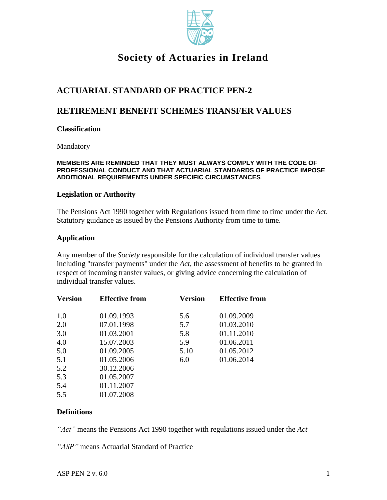

# **Society of Actuaries in Ireland**

# **ACTUARIAL STANDARD OF PRACTICE PEN-2**

## **RETIREMENT BENEFIT SCHEMES TRANSFER VALUES**

#### **Classification**

Mandatory

#### **MEMBERS ARE REMINDED THAT THEY MUST ALWAYS COMPLY WITH THE CODE OF PROFESSIONAL CONDUCT AND THAT ACTUARIAL STANDARDS OF PRACTICE IMPOSE ADDITIONAL REQUIREMENTS UNDER SPECIFIC CIRCUMSTANCES**.

#### **Legislation or Authority**

The Pensions Act 1990 together with Regulations issued from time to time under the *Act*. Statutory guidance as issued by the Pensions Authority from time to time.

#### **Application**

Any member of the *Society* responsible for the calculation of individual transfer values including "transfer payments" under the *Act*, the assessment of benefits to be granted in respect of incoming transfer values, or giving advice concerning the calculation of individual transfer values.

| <b>Version</b> | <b>Effective from</b> | Version | <b>Effective from</b> |
|----------------|-----------------------|---------|-----------------------|
| 1.0            | 01.09.1993            | 5.6     | 01.09.2009            |
| 2.0            | 07.01.1998            | 5.7     | 01.03.2010            |
| 3.0            | 01.03.2001            | 5.8     | 01.11.2010            |
| 4.0            | 15.07.2003            | 5.9     | 01.06.2011            |
| 5.0            | 01.09.2005            | 5.10    | 01.05.2012            |
| 5.1            | 01.05.2006            | 6.0     | 01.06.2014            |
| 5.2            | 30.12.2006            |         |                       |
| 5.3            | 01.05.2007            |         |                       |
| 5.4            | 01.11.2007            |         |                       |
| 5.5            | 01.07.2008            |         |                       |
|                |                       |         |                       |

### **Definitions**

*"Act"* means the Pensions Act 1990 together with regulations issued under the *Act*

*"ASP"* means Actuarial Standard of Practice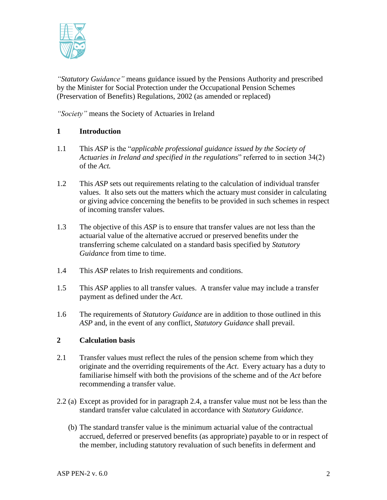

*"Statutory Guidance"* means guidance issued by the Pensions Authority and prescribed by the Minister for Social Protection under the Occupational Pension Schemes (Preservation of Benefits) Regulations, 2002 (as amended or replaced)

*"Society"* means the Society of Actuaries in Ireland

## **1 Introduction**

- 1.1 This *ASP* is the "*applicable professional guidance issued by the Society of Actuaries in Ireland and specified in the regulations*" referred to in section 34(2) of the *Act.*
- 1.2 This *ASP* sets out requirements relating to the calculation of individual transfer values. It also sets out the matters which the actuary must consider in calculating or giving advice concerning the benefits to be provided in such schemes in respect of incoming transfer values.
- 1.3 The objective of this *ASP* is to ensure that transfer values are not less than the actuarial value of the alternative accrued or preserved benefits under the transferring scheme calculated on a standard basis specified by *Statutory Guidance* from time to time.
- 1.4 This *ASP* relates to Irish requirements and conditions.
- 1.5 This *ASP* applies to all transfer values. A transfer value may include a transfer payment as defined under the *Act*.
- 1.6 The requirements of *Statutory Guidance* are in addition to those outlined in this *ASP* and, in the event of any conflict, *Statutory Guidance* shall prevail.

## **2 Calculation basis**

- 2.1 Transfer values must reflect the rules of the pension scheme from which they originate and the overriding requirements of the *Act*. Every actuary has a duty to familiarise himself with both the provisions of the scheme and of the *Act* before recommending a transfer value.
- 2.2 (a) Except as provided for in paragraph 2.4, a transfer value must not be less than the standard transfer value calculated in accordance with *Statutory Guidance*.
	- (b) The standard transfer value is the minimum actuarial value of the contractual accrued, deferred or preserved benefits (as appropriate) payable to or in respect of the member, including statutory revaluation of such benefits in deferment and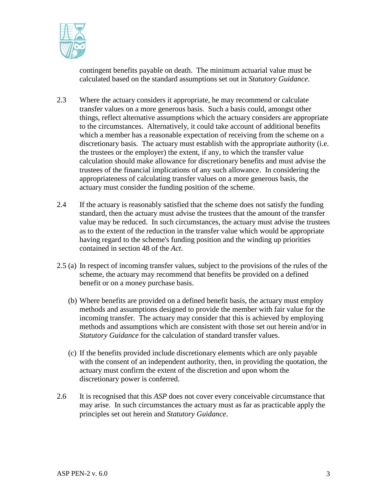

contingent benefits payable on death. The minimum actuarial value must be calculated based on the standard assumptions set out in *Statutory Guidance*.

- 2.3 Where the actuary considers it appropriate, he may recommend or calculate transfer values on a more generous basis. Such a basis could, amongst other things, reflect alternative assumptions which the actuary considers are appropriate to the circumstances. Alternatively, it could take account of additional benefits which a member has a reasonable expectation of receiving from the scheme on a discretionary basis. The actuary must establish with the appropriate authority (i.e. the trustees or the employer) the extent, if any, to which the transfer value calculation should make allowance for discretionary benefits and must advise the trustees of the financial implications of any such allowance. In considering the appropriateness of calculating transfer values on a more generous basis, the actuary must consider the funding position of the scheme.
- 2.4 If the actuary is reasonably satisfied that the scheme does not satisfy the funding standard, then the actuary must advise the trustees that the amount of the transfer value may be reduced. In such circumstances, the actuary must advise the trustees as to the extent of the reduction in the transfer value which would be appropriate having regard to the scheme's funding position and the winding up priorities contained in section 48 of the *Act*.
- 2.5 (a) In respect of incoming transfer values, subject to the provisions of the rules of the scheme, the actuary may recommend that benefits be provided on a defined benefit or on a money purchase basis.
	- (b) Where benefits are provided on a defined benefit basis, the actuary must employ methods and assumptions designed to provide the member with fair value for the incoming transfer. The actuary may consider that this is achieved by employing methods and assumptions which are consistent with those set out herein and/or in *Statutory Guidance* for the calculation of standard transfer values.
	- (c) If the benefits provided include discretionary elements which are only payable with the consent of an independent authority, then, in providing the quotation, the actuary must confirm the extent of the discretion and upon whom the discretionary power is conferred.
- 2.6 It is recognised that this *ASP* does not cover every conceivable circumstance that may arise. In such circumstances the actuary must as far as practicable apply the principles set out herein and *Statutory Guidance*.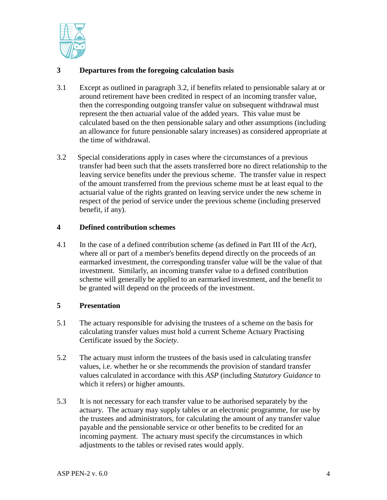

## **3 Departures from the foregoing calculation basis**

- 3.1 Except as outlined in paragraph 3.2, if benefits related to pensionable salary at or around retirement have been credited in respect of an incoming transfer value, then the corresponding outgoing transfer value on subsequent withdrawal must represent the then actuarial value of the added years. This value must be calculated based on the then pensionable salary and other assumptions (including an allowance for future pensionable salary increases) as considered appropriate at the time of withdrawal.
- 3.2 Special considerations apply in cases where the circumstances of a previous transfer had been such that the assets transferred bore no direct relationship to the leaving service benefits under the previous scheme. The transfer value in respect of the amount transferred from the previous scheme must be at least equal to the actuarial value of the rights granted on leaving service under the new scheme in respect of the period of service under the previous scheme (including preserved benefit, if any).

## **4 Defined contribution schemes**

4.1 In the case of a defined contribution scheme (as defined in Part III of the *Act*), where all or part of a member's benefits depend directly on the proceeds of an earmarked investment, the corresponding transfer value will be the value of that investment. Similarly, an incoming transfer value to a defined contribution scheme will generally be applied to an earmarked investment, and the benefit to be granted will depend on the proceeds of the investment.

### **5 Presentation**

- 5.1 The actuary responsible for advising the trustees of a scheme on the basis for calculating transfer values must hold a current Scheme Actuary Practising Certificate issued by the *Society*.
- 5.2 The actuary must inform the trustees of the basis used in calculating transfer values, i.e. whether he or she recommends the provision of standard transfer values calculated in accordance with this *ASP* (including *Statutory Guidance* to which it refers) or higher amounts.
- 5.3 It is not necessary for each transfer value to be authorised separately by the actuary. The actuary may supply tables or an electronic programme, for use by the trustees and administrators, for calculating the amount of any transfer value payable and the pensionable service or other benefits to be credited for an incoming payment. The actuary must specify the circumstances in which adjustments to the tables or revised rates would apply.